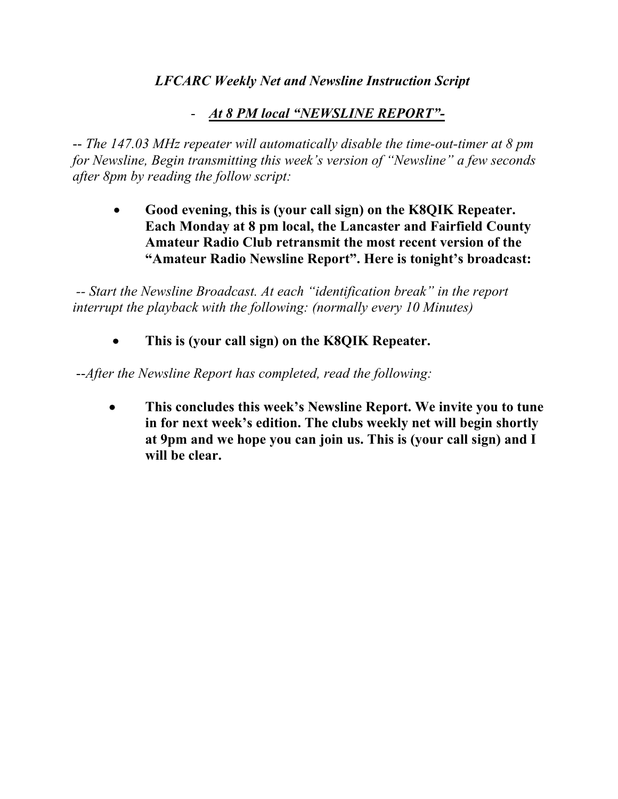## *LFCARC Weekly Net and Newsline Instruction Script*

## - *At 8 PM local "NEWSLINE REPORT"-*

-- *The 147.03 MHz repeater will automatically disable the time-out-timer at 8 pm for Newsline, Begin transmitting this week's version of "Newsline" a few seconds after 8pm by reading the follow script:*

• **Good evening, this is (your call sign) on the K8QIK Repeater. Each Monday at 8 pm local, the Lancaster and Fairfield County Amateur Radio Club retransmit the most recent version of the "Amateur Radio Newsline Report". Here is tonight's broadcast:**

*-- Start the Newsline Broadcast. At each "identification break" in the report interrupt the playback with the following: (normally every 10 Minutes)*

• **This is (your call sign) on the K8QIK Repeater.**

--*After the Newsline Report has completed, read the following:*

• **This concludes this week's Newsline Report. We invite you to tune in for next week's edition. The clubs weekly net will begin shortly at 9pm and we hope you can join us. This is (your call sign) and I will be clear.**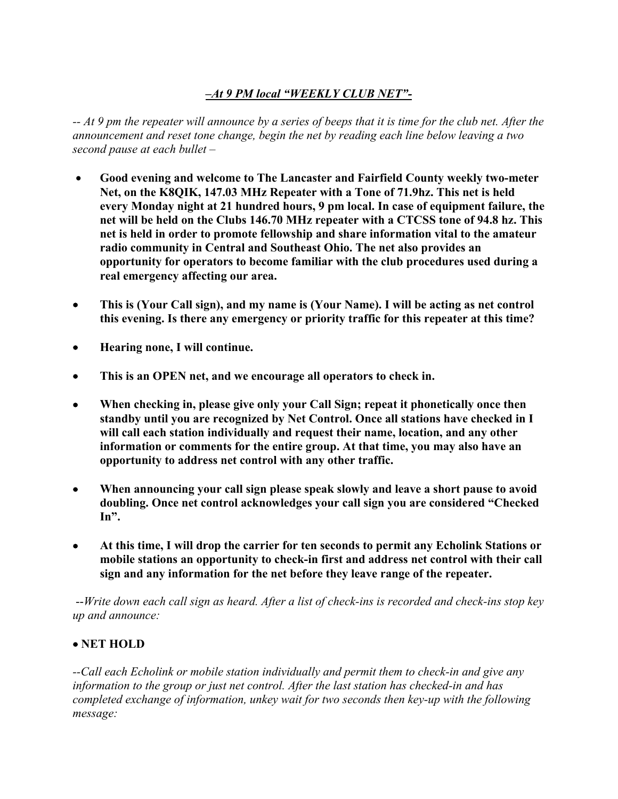## *–At 9 PM local "WEEKLY CLUB NET"-*

*-- At 9 pm the repeater will announce by a series of beeps that it is time for the club net. After the announcement and reset tone change, begin the net by reading each line below leaving a two second pause at each bullet –*

- **Good evening and welcome to The Lancaster and Fairfield County weekly two-meter Net, on the K8QIK, 147.03 MHz Repeater with a Tone of 71.9hz. This net is held every Monday night at 21 hundred hours, 9 pm local. In case of equipment failure, the net will be held on the Clubs 146.70 MHz repeater with a CTCSS tone of 94.8 hz. This net is held in order to promote fellowship and share information vital to the amateur radio community in Central and Southeast Ohio. The net also provides an opportunity for operators to become familiar with the club procedures used during a real emergency affecting our area.**
- **This is (Your Call sign), and my name is (Your Name). I will be acting as net control this evening. Is there any emergency or priority traffic for this repeater at this time?**
- **Hearing none, I will continue.**
- **This is an OPEN net, and we encourage all operators to check in.**
- **When checking in, please give only your Call Sign; repeat it phonetically once then standby until you are recognized by Net Control. Once all stations have checked in I will call each station individually and request their name, location, and any other information or comments for the entire group. At that time, you may also have an opportunity to address net control with any other traffic.**
- **When announcing your call sign please speak slowly and leave a short pause to avoid doubling. Once net control acknowledges your call sign you are considered "Checked In".**
- **At this time, I will drop the carrier for ten seconds to permit any Echolink Stations or mobile stations an opportunity to check-in first and address net control with their call sign and any information for the net before they leave range of the repeater.**

--*Write down each call sign as heard. After a list of check-ins is recorded and check-ins stop key up and announce:* 

## • **NET HOLD**

*--Call each Echolink or mobile station individually and permit them to check-in and give any information to the group or just net control. After the last station has checked-in and has completed exchange of information, unkey wait for two seconds then key-up with the following message:*